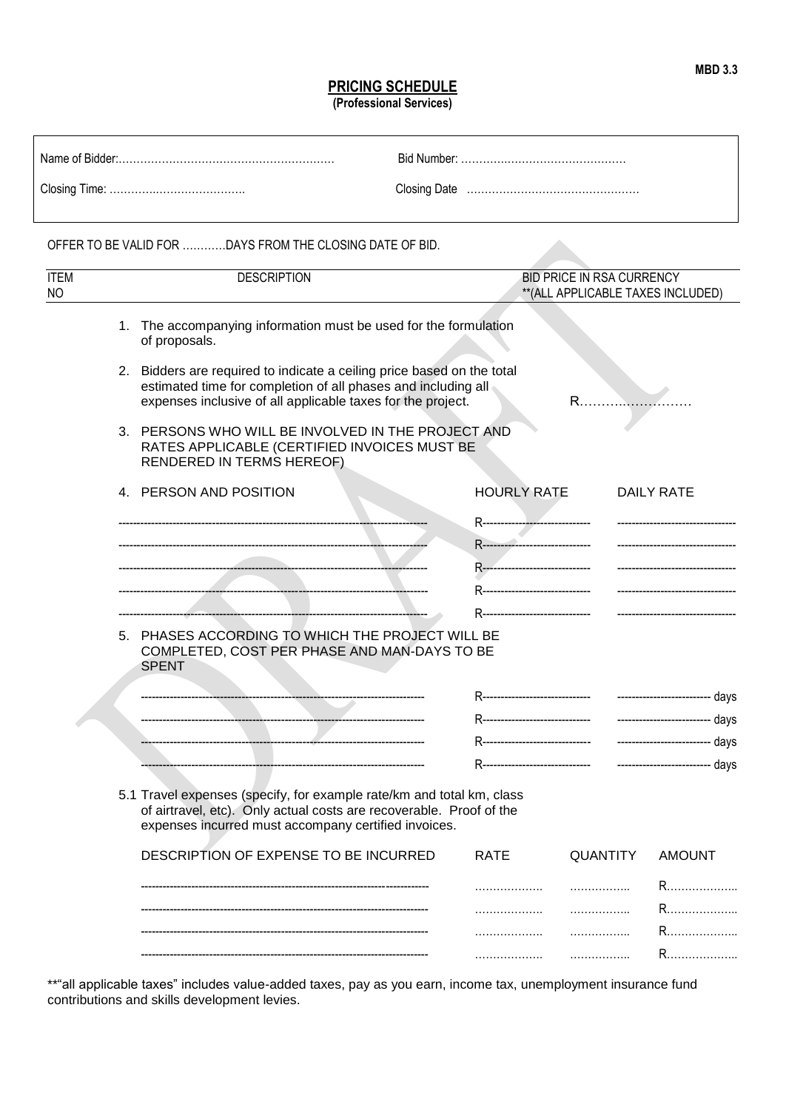## **PRICING SCHEDULE**

**(Professional Services)**

|                          | OFFER TO BE VALID FOR DAYS FROM THE CLOSING DATE OF BID.                                                                                                                                               |             |                                                                     |                 |                                                               |  |
|--------------------------|--------------------------------------------------------------------------------------------------------------------------------------------------------------------------------------------------------|-------------|---------------------------------------------------------------------|-----------------|---------------------------------------------------------------|--|
| <b>ITEM</b><br><b>NO</b> | <b>DESCRIPTION</b><br><b>BID PRICE IN RSA CURRENCY</b><br>** (ALL APPLICABLE TAXES INCLUDED)                                                                                                           |             |                                                                     |                 |                                                               |  |
|                          | 1. The accompanying information must be used for the formulation<br>of proposals.                                                                                                                      |             |                                                                     |                 |                                                               |  |
|                          | 2. Bidders are required to indicate a ceiling price based on the total<br>estimated time for completion of all phases and including all<br>expenses inclusive of all applicable taxes for the project. |             | $R$                                                                 |                 |                                                               |  |
|                          | 3. PERSONS WHO WILL BE INVOLVED IN THE PROJECT AND<br>RATES APPLICABLE (CERTIFIED INVOICES MUST BE<br>RENDERED IN TERMS HEREOF)                                                                        |             |                                                                     |                 |                                                               |  |
|                          | 4. PERSON AND POSITION                                                                                                                                                                                 |             | <b>HOURLY RATE</b>                                                  |                 | <b>DAILY RATE</b>                                             |  |
|                          |                                                                                                                                                                                                        |             | R------------- <del>------------------</del>                        |                 | --------------------------------                              |  |
|                          |                                                                                                                                                                                                        |             | R------------------------------<br>R------------------------------- |                 | -------------------------------<br>-------------------------- |  |
|                          |                                                                                                                                                                                                        |             | R-------------------------------                                    |                 | ---------------------------                                   |  |
|                          |                                                                                                                                                                                                        |             | R-------------------------------                                    |                 |                                                               |  |
|                          | 5. PHASES ACCORDING TO WHICH THE PROJECT WILL BE<br>COMPLETED, COST PER PHASE AND MAN-DAYS TO BE<br><b>SPENT</b>                                                                                       |             |                                                                     |                 |                                                               |  |
|                          |                                                                                                                                                                                                        |             |                                                                     |                 |                                                               |  |
|                          |                                                                                                                                                                                                        |             |                                                                     |                 |                                                               |  |
|                          |                                                                                                                                                                                                        |             | R-------------------------------                                    |                 | -------------------------- days                               |  |
|                          |                                                                                                                                                                                                        |             | R------------------------------                                     |                 | ------------------------- days                                |  |
|                          | 5.1 Travel expenses (specify, for example rate/km and total km, class<br>of airtravel, etc). Only actual costs are recoverable. Proof of the<br>expenses incurred must accompany certified invoices.   |             |                                                                     |                 |                                                               |  |
|                          | DESCRIPTION OF EXPENSE TO BE INCURRED                                                                                                                                                                  | <b>RATE</b> |                                                                     | <b>QUANTITY</b> | <b>AMOUNT</b>                                                 |  |
|                          |                                                                                                                                                                                                        | .           |                                                                     |                 |                                                               |  |
|                          |                                                                                                                                                                                                        | .           |                                                                     |                 | R                                                             |  |
|                          |                                                                                                                                                                                                        | .           | .                                                                   |                 |                                                               |  |
|                          |                                                                                                                                                                                                        | .           |                                                                     | .               |                                                               |  |

\*\*"all applicable taxes" includes value-added taxes, pay as you earn, income tax, unemployment insurance fund contributions and skills development levies.